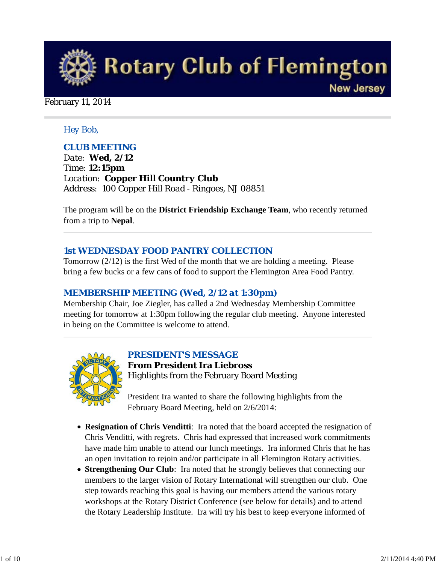

### February 11, 2014

### *Hey Bob,*

### *CLUB MEETING*

*Date: Wed, 2/12 Time: 12:15pm Location: Copper Hill Country Club Address: 100 Copper Hill Road - Ringoes, NJ 08851*

The program will be on the **District Friendship Exchange Team**, who recently returned from a trip to **Nepal**.

### *1st WEDNESDAY FOOD PANTRY COLLECTION*

Tomorrow (2/12) is the first Wed of the month that we are holding a meeting. Please bring a few bucks or a few cans of food to support the Flemington Area Food Pantry.

### *MEMBERSHIP MEETING (Wed, 2/12 at 1:30pm)*

Membership Chair, Joe Ziegler, has called a 2nd Wednesday Membership Committee meeting for tomorrow at 1:30pm following the regular club meeting. Anyone interested in being on the Committee is welcome to attend.



### *PRESIDENT'S MESSAGE*

**From President Ira Liebross** Highlights from the February Board Meeting

President Ira wanted to share the following highlights from the February Board Meeting, held on 2/6/2014:

- **Resignation of Chris Venditti**: Ira noted that the board accepted the resignation of Chris Venditti, with regrets. Chris had expressed that increased work commitments have made him unable to attend our lunch meetings. Ira informed Chris that he has an open invitation to rejoin and/or participate in all Flemington Rotary activities.
- **Strengthening Our Club**: Ira noted that he strongly believes that connecting our members to the larger vision of Rotary International will strengthen our club. One step towards reaching this goal is having our members attend the various rotary workshops at the Rotary District Conference (see below for details) and to attend the Rotary Leadership Institute. Ira will try his best to keep everyone informed of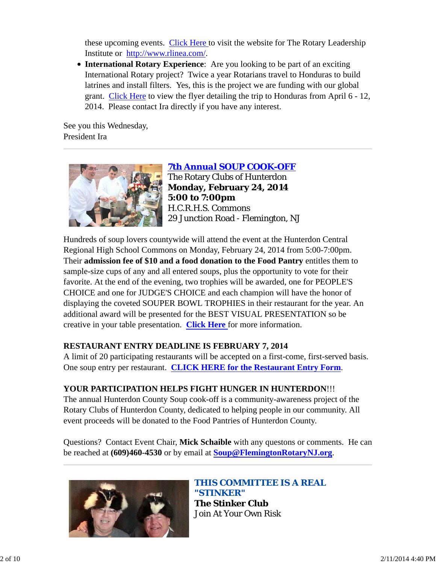these upcoming events. Click Here to visit the website for The Rotary Leadership Institute or http://www.rlinea.com/.

**International Rotary Experience**: Are you looking to be part of an exciting International Rotary project? Twice a year Rotarians travel to Honduras to build latrines and install filters. Yes, this is the project we are funding with our global grant. Click Here to view the flyer detailing the trip to Honduras from April 6 - 12, 2014. Please contact Ira directly if you have any interest.

See you this Wednesday, President Ira



*7th Annual SOUP COOK-OFF* The Rotary Clubs of Hunterdon **Monday, February 24, 2014 5:00 to 7:00pm** H.C.R.H.S. Commons 29 Junction Road - Flemington, NJ

Hundreds of soup lovers countywide will attend the event at the Hunterdon Central Regional High School Commons on Monday, February 24, 2014 from 5:00-7:00pm. Their **admission fee of \$10 and a food donation to the Food Pantry** entitles them to sample-size cups of any and all entered soups, plus the opportunity to vote for their favorite. At the end of the evening, two trophies will be awarded, one for PEOPLE'S CHOICE and one for JUDGE'S CHOICE and each champion will have the honor of displaying the coveted SOUPER BOWL TROPHIES in their restaurant for the year. An additional award will be presented for the BEST VISUAL PRESENTATION so be creative in your table presentation. **Click Here** for more information.

# **RESTAURANT ENTRY DEADLINE IS FEBRUARY 7, 2014**

A limit of 20 participating restaurants will be accepted on a first-come, first-served basis. One soup entry per restaurant. **CLICK HERE for the Restaurant Entry Form**.

# **YOUR PARTICIPATION HELPS FIGHT HUNGER IN HUNTERDON**!!!

The annual Hunterdon County Soup cook-off is a community-awareness project of the Rotary Clubs of Hunterdon County, dedicated to helping people in our community. All event proceeds will be donated to the Food Pantries of Hunterdon County.

Questions? Contact Event Chair, **Mick Schaible** with any questons or comments. He can be reached at **(609)460-4530** or by email at **Soup@FlemingtonRotaryNJ.org**.



*THIS COMMITTEE IS A REAL "STINKER"* **The Stinker Club** Join At Your Own Risk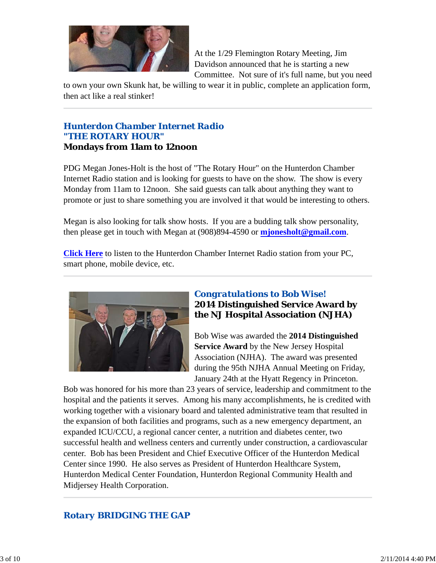

At the 1/29 Flemington Rotary Meeting, Jim Davidson announced that he is starting a new Committee. Not sure of it's full name, but you need

to own your own Skunk hat, be willing to wear it in public, complete an application form, then act like a real stinker!

## *Hunterdon Chamber Internet Radio "THE ROTARY HOUR"* **Mondays from 11am to 12noon**

PDG Megan Jones-Holt is the host of "The Rotary Hour" on the Hunterdon Chamber Internet Radio station and is looking for guests to have on the show. The show is every Monday from 11am to 12noon. She said guests can talk about anything they want to promote or just to share something you are involved it that would be interesting to others.

Megan is also looking for talk show hosts. If you are a budding talk show personality, then please get in touch with Megan at (908)894-4590 or **mjonesholt@gmail.com**.

**Click Here** to listen to the Hunterdon Chamber Internet Radio station from your PC, smart phone, mobile device, etc.



## *Congratulations to Bob Wise!* **2014 Distinguished Service Award by the NJ Hospital Association (NJHA)**

Bob Wise was awarded the **2014 Distinguished Service Award** by the New Jersey Hospital Association (NJHA). The award was presented during the 95th NJHA Annual Meeting on Friday, January 24th at the Hyatt Regency in Princeton.

Bob was honored for his more than 23 years of service, leadership and commitment to the hospital and the patients it serves. Among his many accomplishments, he is credited with working together with a visionary board and talented administrative team that resulted in the expansion of both facilities and programs, such as a new emergency department, an expanded ICU/CCU, a regional cancer center, a nutrition and diabetes center, two successful health and wellness centers and currently under construction, a cardiovascular center. Bob has been President and Chief Executive Officer of the Hunterdon Medical Center since 1990. He also serves as President of Hunterdon Healthcare System, Hunterdon Medical Center Foundation, Hunterdon Regional Community Health and Midjersey Health Corporation.

# *Rotary BRIDGING THE GAP*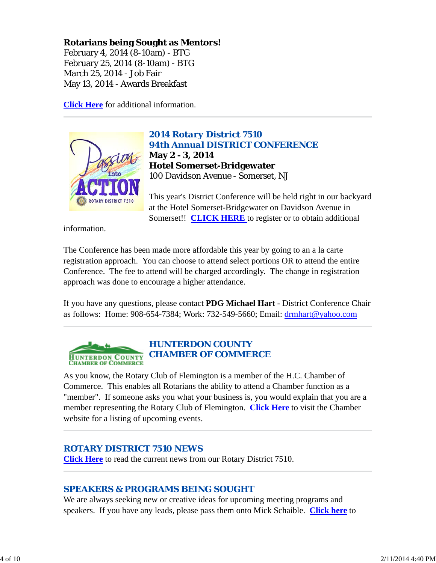# **Rotarians being Sought as Mentors!**

February 4, 2014 (8-10am) - BTG February 25, 2014 (8-10am) - BTG March 25, 2014 - Job Fair May 13, 2014 - Awards Breakfast

**Click Here** for additional information.



*2014 Rotary District 7510 94th Annual DISTRICT CONFERENCE* **May 2 - 3, 2014 Hotel Somerset-Bridgewater** 100 Davidson Avenue - Somerset, NJ

This year's District Conference will be held right in our backyard at the Hotel Somerset-Bridgewater on Davidson Avenue in Somerset!! **CLICK HERE** to register or to obtain additional

information.

The Conference has been made more affordable this year by going to an a la carte registration approach. You can choose to attend select portions OR to attend the entire Conference. The fee to attend will be charged accordingly. The change in registration approach was done to encourage a higher attendance.

If you have any questions, please contact **PDG Michael Hart** - District Conference Chair as follows: Home: 908-654-7384; Work: 732-549-5660; Email: drmhart@yahoo.com



# *HUNTERDON COUNTY CHAMBER OF COMMERCE*

As you know, the Rotary Club of Flemington is a member of the H.C. Chamber of Commerce. This enables all Rotarians the ability to attend a Chamber function as a "member". If someone asks you what your business is, you would explain that you are a member representing the Rotary Club of Flemington. **Click Here** to visit the Chamber website for a listing of upcoming events.

# *ROTARY DISTRICT 7510 NEWS*

**Click Here** to read the current news from our Rotary District 7510.

# *SPEAKERS & PROGRAMS BEING SOUGHT*

We are always seeking new or creative ideas for upcoming meeting programs and speakers. If you have any leads, please pass them onto Mick Schaible. **Click here** to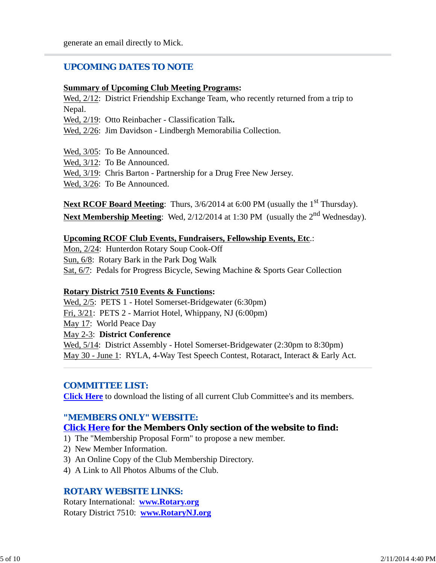### *UPCOMING DATES TO NOTE*

#### **Summary of Upcoming Club Meeting Programs:**

Wed,  $2/12$ : District Friendship Exchange Team, who recently returned from a trip to Nepal.

Wed, 2/19: Otto Reinbacher - Classification Talk**.**

Wed, 2/26: Jim Davidson - Lindbergh Memorabilia Collection.

Wed, 3/05: To Be Announced.

Wed, 3/12: To Be Announced.

Wed,  $3/19$ : Chris Barton - Partnership for a Drug Free New Jersey.

Wed, 3/26: To Be Announced.

Next RCOF Board Meeting: Thurs, 3/6/2014 at 6:00 PM (usually the 1<sup>st</sup> Thursday). **Next Membership Meeting**: Wed, 2/12/2014 at 1:30 PM (usually the 2<sup>nd</sup> Wednesday).

#### **Upcoming RCOF Club Events, Fundraisers, Fellowship Events, Etc**.:

Mon, 2/24: Hunterdon Rotary Soup Cook-Off Sun, 6/8: Rotary Bark in the Park Dog Walk Sat, 6/7: Pedals for Progress Bicycle, Sewing Machine & Sports Gear Collection

#### **Rotary District 7510 Events & Functions:**

Wed, 2/5: PETS 1 - Hotel Somerset-Bridgewater (6:30pm) Fri, 3/21: PETS 2 - Marriot Hotel, Whippany, NJ (6:00pm) May 17: World Peace Day May 2-3: **District Conference** Wed,  $5/14$ : District Assembly - Hotel Somerset-Bridgewater (2:30pm to 8:30pm) May 30 - June 1: RYLA, 4-Way Test Speech Contest, Rotaract, Interact & Early Act.

#### *COMMITTEE LIST:*

**Click Here** to download the listing of all current Club Committee's and its members.

#### *"MEMBERS ONLY" WEBSITE:*

#### **Click Here for the Members Only section of the website to find:**

- 1) The "Membership Proposal Form" to propose a new member.
- 2) New Member Information.
- 3) An Online Copy of the Club Membership Directory.
- 4) A Link to All Photos Albums of the Club.

#### *ROTARY WEBSITE LINKS:*

Rotary International: **www.Rotary.org** Rotary District 7510: **www.RotaryNJ.org**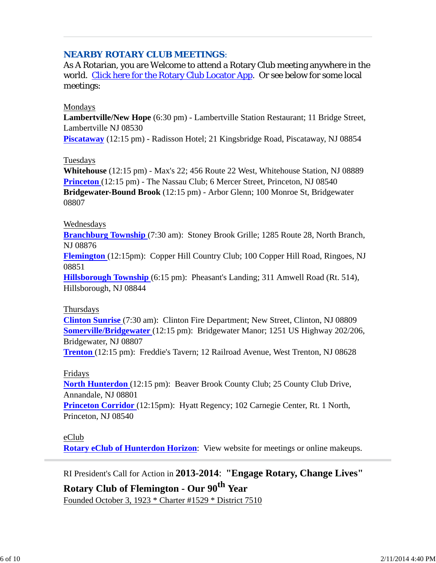## *NEARBY ROTARY CLUB MEETINGS:*

As A Rotarian, you are Welcome to attend a Rotary Club meeting anywhere in the world. Click here for the Rotary Club Locator App. Or see below for some local meetings:

#### Mondays

**Lambertville/New Hope** (6:30 pm) - Lambertville Station Restaurant; 11 Bridge Street, Lambertville NJ 08530

**Piscataway** (12:15 pm) - Radisson Hotel; 21 Kingsbridge Road, Piscataway, NJ 08854

#### Tuesdays

**Whitehouse** (12:15 pm) - Max's 22; 456 Route 22 West, Whitehouse Station, NJ 08889 **Princeton** (12:15 pm) - The Nassau Club; 6 Mercer Street, Princeton, NJ 08540 **Bridgewater-Bound Brook** (12:15 pm) - Arbor Glenn; 100 Monroe St, Bridgewater 08807

#### Wednesdays

**Branchburg Township** (7:30 am): Stoney Brook Grille; 1285 Route 28, North Branch, NJ 08876

**Flemington** (12:15pm): Copper Hill Country Club; 100 Copper Hill Road, Ringoes, NJ 08851

**Hillsborough Township** (6:15 pm): Pheasant's Landing; 311 Amwell Road (Rt. 514), Hillsborough, NJ 08844

#### Thursdays

**Clinton Sunrise** (7:30 am): Clinton Fire Department; New Street, Clinton, NJ 08809 **Somerville/Bridgewater** (12:15 pm): Bridgewater Manor; 1251 US Highway 202/206, Bridgewater, NJ 08807

**Trenton** (12:15 pm): Freddie's Tavern; 12 Railroad Avenue, West Trenton, NJ 08628

#### Fridays

**North Hunterdon** (12:15 pm): Beaver Brook County Club; 25 County Club Drive, Annandale, NJ 08801

**Princeton Corridor** (12:15pm): Hyatt Regency; 102 Carnegie Center, Rt. 1 North, Princeton, NJ 08540

#### eClub

**Rotary eClub of Hunterdon Horizon**: View website for meetings or online makeups.

RI President's Call for Action in **2013-2014**: **"Engage Rotary, Change Lives"**

# **Rotary Club of Flemington - Our 90th Year** Founded October 3, 1923 \* Charter #1529 \* District 7510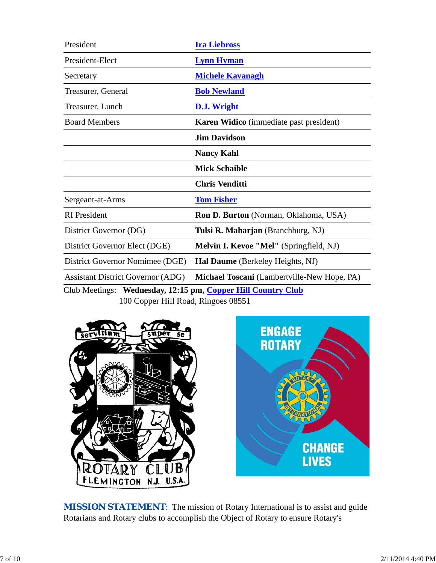| President                                                    | <b>Ira Liebross</b>                            |  |  |
|--------------------------------------------------------------|------------------------------------------------|--|--|
| President-Elect                                              | <b>Lynn Hyman</b>                              |  |  |
| Secretary                                                    | <b>Michele Kavanagh</b>                        |  |  |
| Treasurer, General                                           | <b>Bob Newland</b>                             |  |  |
| Treasurer, Lunch                                             | <b>D.J. Wright</b>                             |  |  |
| <b>Board Members</b>                                         | <b>Karen Widico</b> (immediate past president) |  |  |
|                                                              | <b>Jim Davidson</b>                            |  |  |
|                                                              | <b>Nancy Kahl</b>                              |  |  |
|                                                              | <b>Mick Schaible</b>                           |  |  |
|                                                              | <b>Chris Venditti</b>                          |  |  |
| Sergeant-at-Arms                                             | <b>Tom Fisher</b>                              |  |  |
| <b>RI</b> President                                          | <b>Ron D. Burton</b> (Norman, Oklahoma, USA)   |  |  |
| District Governor (DG)                                       | Tulsi R. Maharjan (Branchburg, NJ)             |  |  |
| District Governor Elect (DGE)                                | Melvin I. Kevoe "Mel" (Springfield, NJ)        |  |  |
| District Governor Nomimee (DGE)                              | Hal Daume (Berkeley Heights, NJ)               |  |  |
| <b>Assistant District Governor (ADG)</b>                     | Michael Toscani (Lambertville-New Hope, PA)    |  |  |
| Club Meetings: Wednesday, 12:15 pm, Copper Hill Country Club |                                                |  |  |

100 Copper Hill Road, Ringoes 08551



**MISSION STATEMENT:** The mission of Rotary International is to assist and guide Rotarians and Rotary clubs to accomplish the Object of Rotary to ensure Rotary's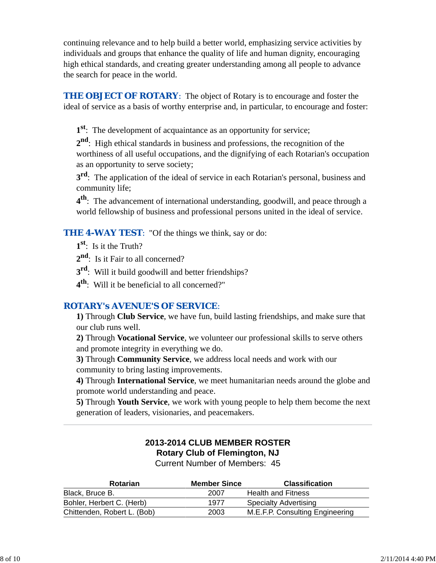continuing relevance and to help build a better world, emphasizing service activities by individuals and groups that enhance the quality of life and human dignity, encouraging high ethical standards, and creating greater understanding among all people to advance the search for peace in the world.

**THE OBJECT OF ROTARY:** The object of Rotary is to encourage and foster the ideal of service as a basis of worthy enterprise and, in particular, to encourage and foster:

**1st**: The development of acquaintance as an opportunity for service;

**2nd**: High ethical standards in business and professions, the recognition of the worthiness of all useful occupations, and the dignifying of each Rotarian's occupation as an opportunity to serve society;

**3<sup>rd</sup>**: The application of the ideal of service in each Rotarian's personal, business and community life;

**4th**: The advancement of international understanding, goodwill, and peace through a world fellowship of business and professional persons united in the ideal of service.

**THE 4-WAY TEST:** "Of the things we think, say or do:

**1st**: Is it the Truth?

2<sup>nd</sup>: Is it Fair to all concerned?

**3rd**: Will it build goodwill and better friendships?

**4th**: Will it be beneficial to all concerned?"

# *ROTARY's AVENUE'S OF SERVICE*:

**1)** Through **Club Service**, we have fun, build lasting friendships, and make sure that our club runs well.

**2)** Through **Vocational Service**, we volunteer our professional skills to serve others and promote integrity in everything we do.

**3)** Through **Community Service**, we address local needs and work with our community to bring lasting improvements.

**4)** Through **International Service**, we meet humanitarian needs around the globe and promote world understanding and peace.

**5)** Through **Youth Service**, we work with young people to help them become the next generation of leaders, visionaries, and peacemakers.

# **2013-2014 CLUB MEMBER ROSTER Rotary Club of Flemington, NJ**

Current Number of Members: 45

| <b>Rotarian</b>             | <b>Member Since</b> | <b>Classification</b>           |
|-----------------------------|---------------------|---------------------------------|
| Black, Bruce B.             | 2007                | <b>Health and Fitness</b>       |
| Bohler, Herbert C. (Herb)   | 1977                | <b>Specialty Advertising</b>    |
| Chittenden, Robert L. (Bob) | 2003                | M.E.F.P. Consulting Engineering |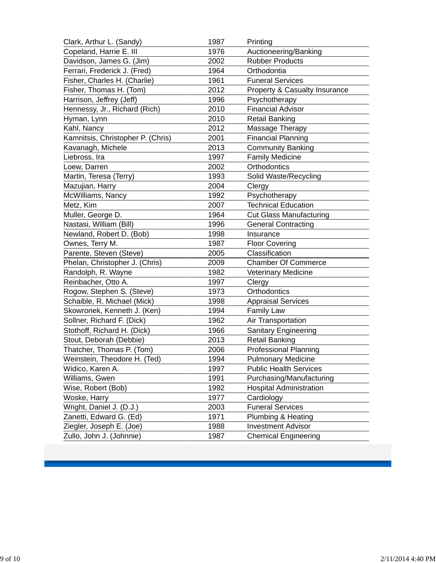| Clark, Arthur L. (Sandy)          | 1987 | Printing                       |
|-----------------------------------|------|--------------------------------|
| Copeland, Harrie E. III           | 1976 | Auctioneering/Banking          |
| Davidson, James G. (Jim)          | 2002 | <b>Rubber Products</b>         |
| Ferrari, Frederick J. (Fred)      | 1964 | Orthodontia                    |
| Fisher, Charles H. (Charlie)      | 1961 | <b>Funeral Services</b>        |
| Fisher, Thomas H. (Tom)           | 2012 | Property & Casualty Insurance  |
| Harrison, Jeffrey (Jeff)          | 1996 | Psychotherapy                  |
| Hennessy, Jr., Richard (Rich)     | 2010 | <b>Financial Advisor</b>       |
| Hyman, Lynn                       | 2010 | <b>Retail Banking</b>          |
| Kahl, Nancy                       | 2012 | Massage Therapy                |
| Kamnitsis, Christopher P. (Chris) | 2001 | <b>Financial Planning</b>      |
| Kavanagh, Michele                 | 2013 | <b>Community Banking</b>       |
| Liebross, Ira                     | 1997 | <b>Family Medicine</b>         |
| Loew, Darren                      | 2002 | Orthodontics                   |
| Martin, Teresa (Terry)            | 1993 | Solid Waste/Recycling          |
| Mazujian, Harry                   | 2004 | Clergy                         |
| McWilliams, Nancy                 | 1992 | Psychotherapy                  |
| Metz, Kim                         | 2007 | <b>Technical Education</b>     |
| Muller, George D.                 | 1964 | <b>Cut Glass Manufacturing</b> |
| Nastasi, William (Bill)           | 1996 | <b>General Contracting</b>     |
| Newland, Robert D. (Bob)          | 1998 | Insurance                      |
| Ownes, Terry M.                   | 1987 | <b>Floor Covering</b>          |
| Parente, Steven (Steve)           | 2005 | Classification                 |
| Phelan, Christopher J. (Chris)    | 2009 | <b>Chamber Of Commerce</b>     |
| Randolph, R. Wayne                | 1982 | Veterinary Medicine            |
| Reinbacher, Otto A.               | 1997 | Clergy                         |
| Rogow, Stephen S. (Steve)         | 1973 | Orthodontics                   |
| Schaible, R. Michael (Mick)       | 1998 | <b>Appraisal Services</b>      |
| Skowronek, Kenneth J. (Ken)       | 1994 | <b>Family Law</b>              |
| Sollner, Richard F. (Dick)        | 1962 | Air Transportation             |
| Stothoff, Richard H. (Dick)       | 1966 | <b>Sanitary Engineering</b>    |
| Stout, Deborah (Debbie)           | 2013 | <b>Retail Banking</b>          |
| Thatcher, Thomas P. (Tom)         | 2006 | <b>Professional Planning</b>   |
| Weinstein, Theodore H. (Ted)      | 1994 | <b>Pulmonary Medicine</b>      |
| Widico, Karen A.                  | 1997 | <b>Public Health Services</b>  |
| Williams, Gwen                    | 1991 | Purchasing/Manufacturing       |
| Wise, Robert (Bob)                | 1992 | <b>Hospital Administration</b> |
| Woske, Harry                      | 1977 | Cardiology                     |
| Wright, Daniel J. (D.J.)          | 2003 | <b>Funeral Services</b>        |
| Zanetti, Edward G. (Ed)           | 1971 | Plumbing & Heating             |
| Ziegler, Joseph E. (Joe)          | 1988 | <b>Investment Advisor</b>      |
| Zullo, John J. (Johnnie)          | 1987 | <b>Chemical Engineering</b>    |